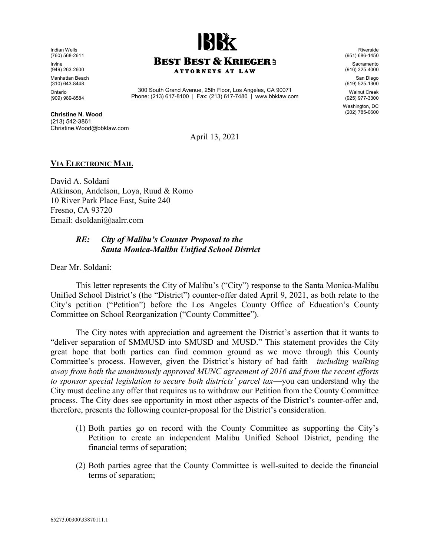Indian Wells (760) 568-2611 Irvine (949) 263-2600 Manhattan Beach (310) 643-8448 Ontario (909) 989-8584



300 South Grand Avenue, 25th Floor, Los Angeles, CA 90071 Phone: (213) 617-8100 | Fax: (213) 617-7480 | www.bbklaw.com

Christine N. Wood (213) 542-3861 Christine.Wood@bbklaw.com (951) 686-1450 Sacramento (916) 325-4000 San Diego

Riverside

(619) 525-1300 Walnut Creek (925) 977-3300

Washington, DC (202) 785-0600

April 13, 2021

## VIA ELECTRONIC MAIL

David A. Soldani Atkinson, Andelson, Loya, Ruud & Romo 10 River Park Place East, Suite 240 Fresno, CA 93720 Email: dsoldani@aalrr.com

## RE: City of Malibu's Counter Proposal to the Santa Monica-Malibu Unified School District

Dear Mr. Soldani:

This letter represents the City of Malibu's ("City") response to the Santa Monica-Malibu Unified School District's (the "District") counter-offer dated April 9, 2021, as both relate to the City's petition ("Petition") before the Los Angeles County Office of Education's County Committee on School Reorganization ("County Committee").

The City notes with appreciation and agreement the District's assertion that it wants to "deliver separation of SMMUSD into SMUSD and MUSD." This statement provides the City great hope that both parties can find common ground as we move through this County Committee's process. However, given the District's history of bad faith—including walking away from both the unanimously approved MUNC agreement of 2016 and from the recent efforts to sponsor special legislation to secure both districts' parcel tax—you can understand why the City must decline any offer that requires us to withdraw our Petition from the County Committee process. The City does see opportunity in most other aspects of the District's counter-offer and, therefore, presents the following counter-proposal for the District's consideration.

- (1) Both parties go on record with the County Committee as supporting the City's Petition to create an independent Malibu Unified School District, pending the financial terms of separation;
- (2) Both parties agree that the County Committee is well-suited to decide the financial terms of separation;